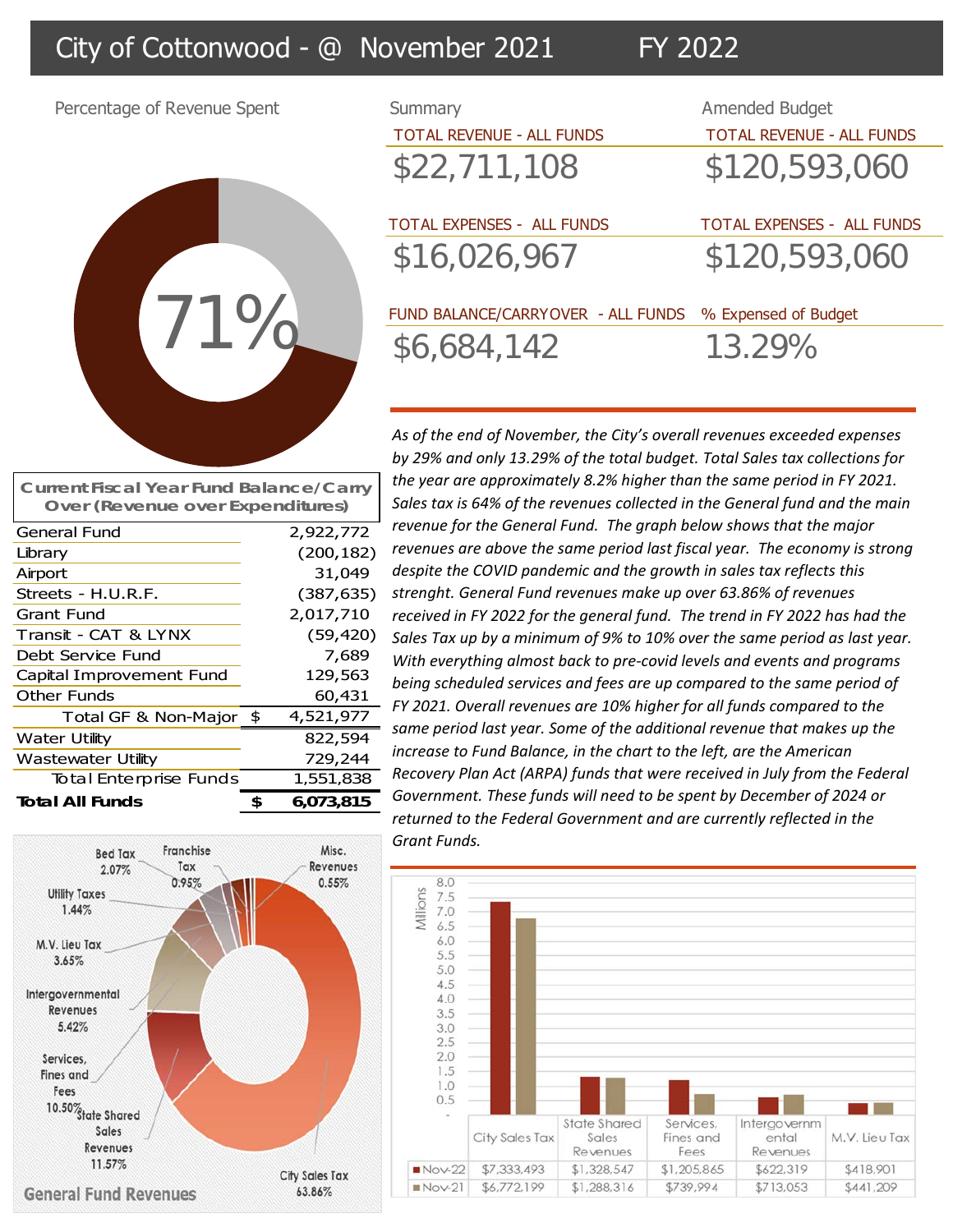## City of Cottonwood - @ November 2021 FY 2022

Percentage of Revenue Spent



General Fund 2,922,772 Library (200,182) Airport 31,049 Streets - H.U.R.F. (387,635) Grant Fund 2,017,710 Transit - CAT & LYNX (59,420) Debt Service Fund 7,689 Capital Improvement Fund 129,563 Other Funds 60,431 Total GF & Non-Major \$ 4,521,977

**Current Fiscal Year Fund Balance/Carry Over (Revenue over Expenditures)**

Water Utility 822,594 Wastewater Utility **729,244** Total Enterprise Funds 1,551,838 **Total All Funds 6,073,815 \$** 

| Summary                            | <b>Amended Budget</b>             |
|------------------------------------|-----------------------------------|
| <b>TOTAL REVENUE - ALL FUNDS</b>   | <b>TOTAL REVENUE - ALL FUNDS</b>  |
| \$22,711,108                       | \$120,593,060                     |
| <b>TOTAL EXPENSES - ALL FUNDS</b>  | <b>TOTAL EXPENSES - ALL FUNDS</b> |
| \$16,026,967                       | \$120,593,060                     |
| FUND BALANCE/CARRYOVER - ALL FUNDS | % Expensed of Budget              |
| \$6,684,142                        | 13.29%                            |
|                                    |                                   |

*As of the end of November, the City's overall revenues exceeded expenses by 29% and only 13.29% of the total budget. Total Sales tax collections for the year are approximately 8.2% higher than the same period in FY 2021. Sales tax is 64% of the revenues collected in the General fund and the main revenue for the General Fund. The graph below shows that the major revenues are above the same period last fiscal year. The economy is strong despite the COVID pandemic and the growth in sales tax reflects this strenght. General Fund revenues make up over 63.86% of revenues received in FY 2022 for the general fund. The trend in FY 2022 has had the Sales Tax up by a minimum of 9% to 10% over the same period as last year. With everything almost back to pre‐covid levels and events and programs being scheduled services and fees are up compared to the same period of FY 2021. Overall revenues are 10% higher for all funds compared to the same period last year. Some of the additional revenue that makes up the increase to Fund Balance, in the chart to the left, are the American Recovery Plan Act (ARPA) funds that were received in July from the Federal Government. These funds will need to be spent by December of 2024 or returned to the Federal Government and are currently reflected in the Grant Funds.*